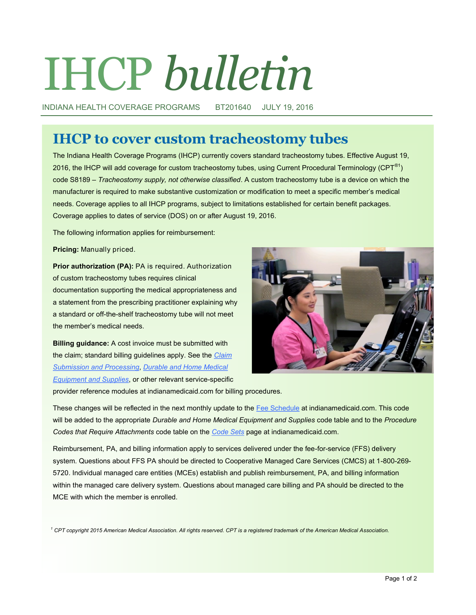# IHCP *bulletin*

INDIANA HEALTH COVERAGE PROGRAMS BT201640 JULY 19, 2016

## **IHCP to cover custom tracheostomy tubes**

The Indiana Health Coverage Programs (IHCP) currently covers standard tracheostomy tubes. Effective August 19, 2016, the IHCP will add coverage for custom tracheostomy tubes, using Current Procedural Terminology ( $CPT^{\circledast}$ ) code S8189 – *Tracheostomy supply, not otherwise classified*. A custom tracheostomy tube is a device on which the manufacturer is required to make substantive customization or modification to meet a specific member's medical needs. Coverage applies to all IHCP programs, subject to limitations established for certain benefit packages. Coverage applies to dates of service (DOS) on or after August 19, 2016.

The following information applies for reimbursement:

**Pricing:** Manually priced.

**Prior authorization (PA):** PA is required. Authorization of custom tracheostomy tubes requires clinical documentation supporting the medical appropriateness and a statement from the prescribing practitioner explaining why a standard or off-the-shelf tracheostomy tube will not meet the member's medical needs.

**Billing guidance:** A cost invoice must be submitted with the claim; standard billing guidelines apply. See the *[Claim](http://provider.indianamedicaid.com/media/155451/claim%20submission%20and%20processing.pdf)  [Submission and Processing](http://provider.indianamedicaid.com/media/155451/claim%20submission%20and%20processing.pdf)*, *[Durable and Home Medical](http://provider.indianamedicaid.com/media/155511/durable%20and%20home%20medical%20equipment%20and%20supplies.pdf)  [Equipment and Supplies](http://provider.indianamedicaid.com/media/155511/durable%20and%20home%20medical%20equipment%20and%20supplies.pdf)*, or other relevant service-specific



provider reference modules at indianamedicaid.com for billing procedures.

These changes will be reflected in the next monthly update to the [Fee Schedule](http://provider.indianamedicaid.com/ihcp/Publications/MaxFee/fee_schedule.asp) at indianamedicaid.com. This code will be added to the appropriate *Durable and Home Medical Equipment and Supplies* code table and to the *Procedure Codes that Require Attachments* code table on the *[Code Sets](http://provider.indianamedicaid.com/general-provider-services/billing-and-remittance/code-sets.aspx)* page at indianamedicaid.com.

Reimbursement, PA, and billing information apply to services delivered under the fee-for-service (FFS) delivery system. Questions about FFS PA should be directed to Cooperative Managed Care Services (CMCS) at 1-800-269-5720. Individual managed care entities (MCEs) establish and publish reimbursement, PA, and billing information within the managed care delivery system. Questions about managed care billing and PA should be directed to the MCE with which the member is enrolled.

*<sup>1</sup> CPT copyright 2015 American Medical Association. All rights reserved. CPT is a registered trademark of the American Medical Association.*